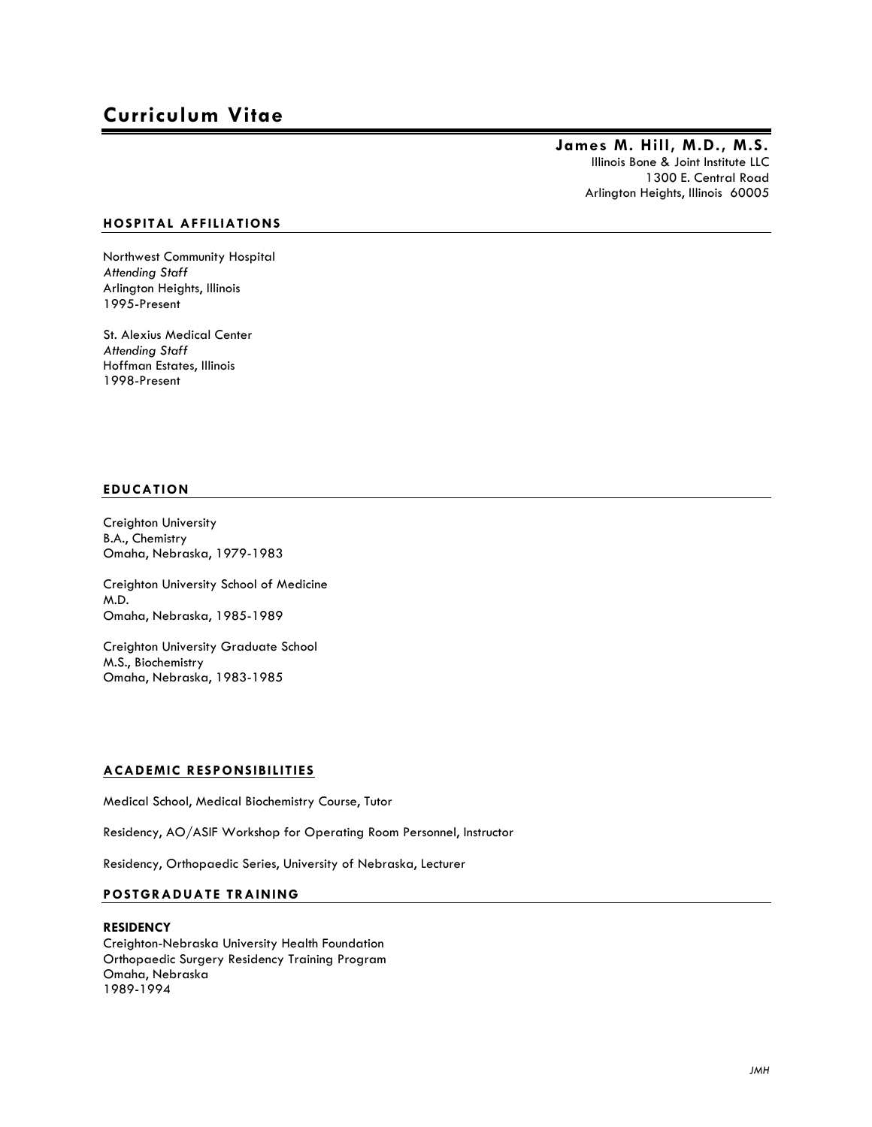# **Curriculum Vitae**

# **James M. Hill, M.D., M.S.** Illinois Bone & Joint Institute LLC 1300 E. Central Road

Arlington Heights, Illinois 60005

# **HOSPITAL AFFILIATIONS**

Northwest Community Hospital *Attending Staff* Arlington Heights, Illinois 1995-Present

St. Alexius Medical Center *Attending Staff* Hoffman Estates, Illinois 1998-Present

# **EDUCATION**

Creighton University B.A., Chemistry Omaha, Nebraska, 1979-1983

Creighton University School of Medicine M.D. Omaha, Nebraska, 1985-1989

Creighton University Graduate School M.S., Biochemistry Omaha, Nebraska, 1983-1985

# **ACADEMIC RESPONSIBILITIES**

Medical School, Medical Biochemistry Course, Tutor

Residency, AO/ASIF Workshop for Operating Room Personnel, Instructor

Residency, Orthopaedic Series, University of Nebraska, Lecturer

# **POSTGRADUATE TRAINING**

#### **RESIDENCY**

Creighton-Nebraska University Health Foundation Orthopaedic Surgery Residency Training Program Omaha, Nebraska 1989-1994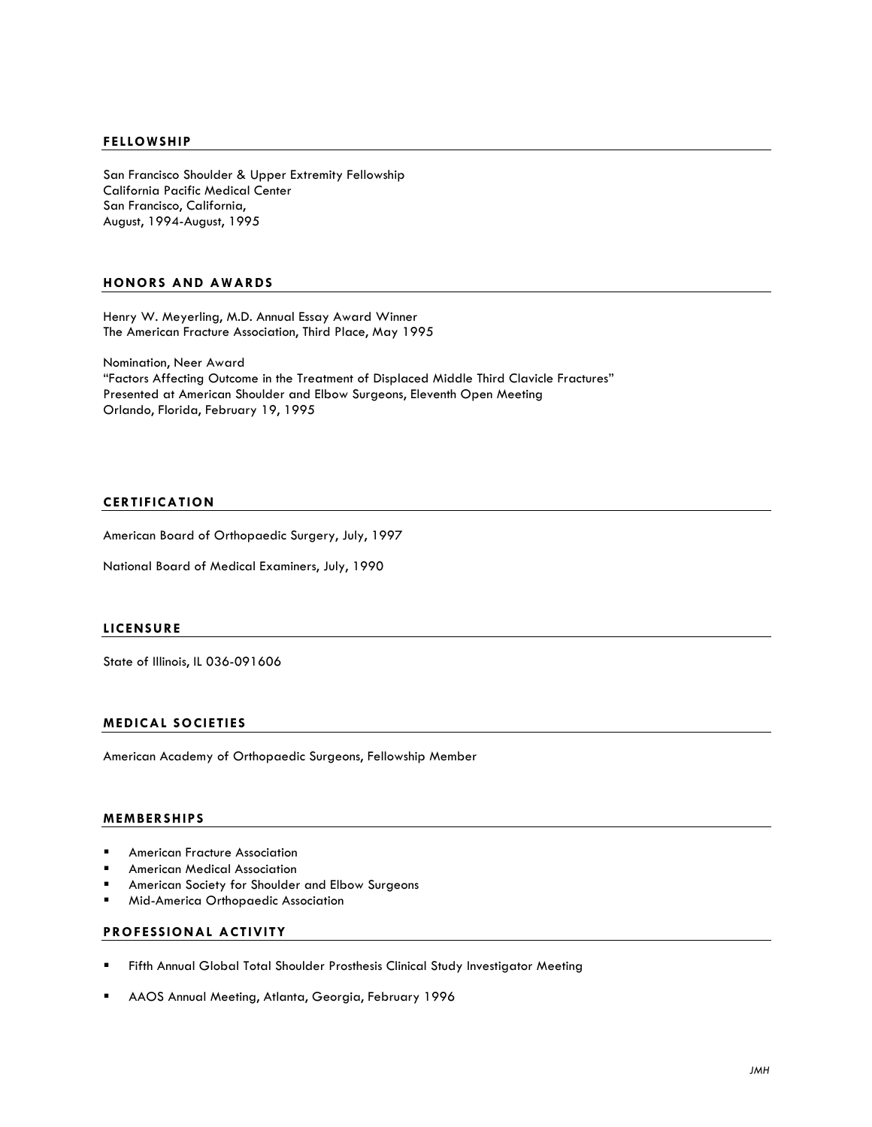### **FELLOWSHIP**

San Francisco Shoulder & Upper Extremity Fellowship California Pacific Medical Center San Francisco, California, August, 1994-August, 1995

# **HONORS AND AWARDS**

Henry W. Meyerling, M.D. Annual Essay Award Winner The American Fracture Association, Third Place, May 1995

Nomination, Neer Award "Factors Affecting Outcome in the Treatment of Displaced Middle Third Clavicle Fractures" Presented at American Shoulder and Elbow Surgeons, Eleventh Open Meeting Orlando, Florida, February 19, 1995

# **CERTIFICATION**

American Board of Orthopaedic Surgery, July, 1997

National Board of Medical Examiners, July, 1990

#### **LICENSURE**

State of Illinois, IL 036-091606

# **MEDICAL SOCIETIES**

American Academy of Orthopaedic Surgeons, Fellowship Member

#### **MEMBERSHIPS**

- **E** American Fracture Association
- ! American Medical Association
- American Society for Shoulder and Elbow Surgeons
- ! Mid-America Orthopaedic Association

## **PROFESSIONAL ACTIVITY**

- ! Fifth Annual Global Total Shoulder Prosthesis Clinical Study Investigator Meeting
- ! AAOS Annual Meeting, Atlanta, Georgia, February 1996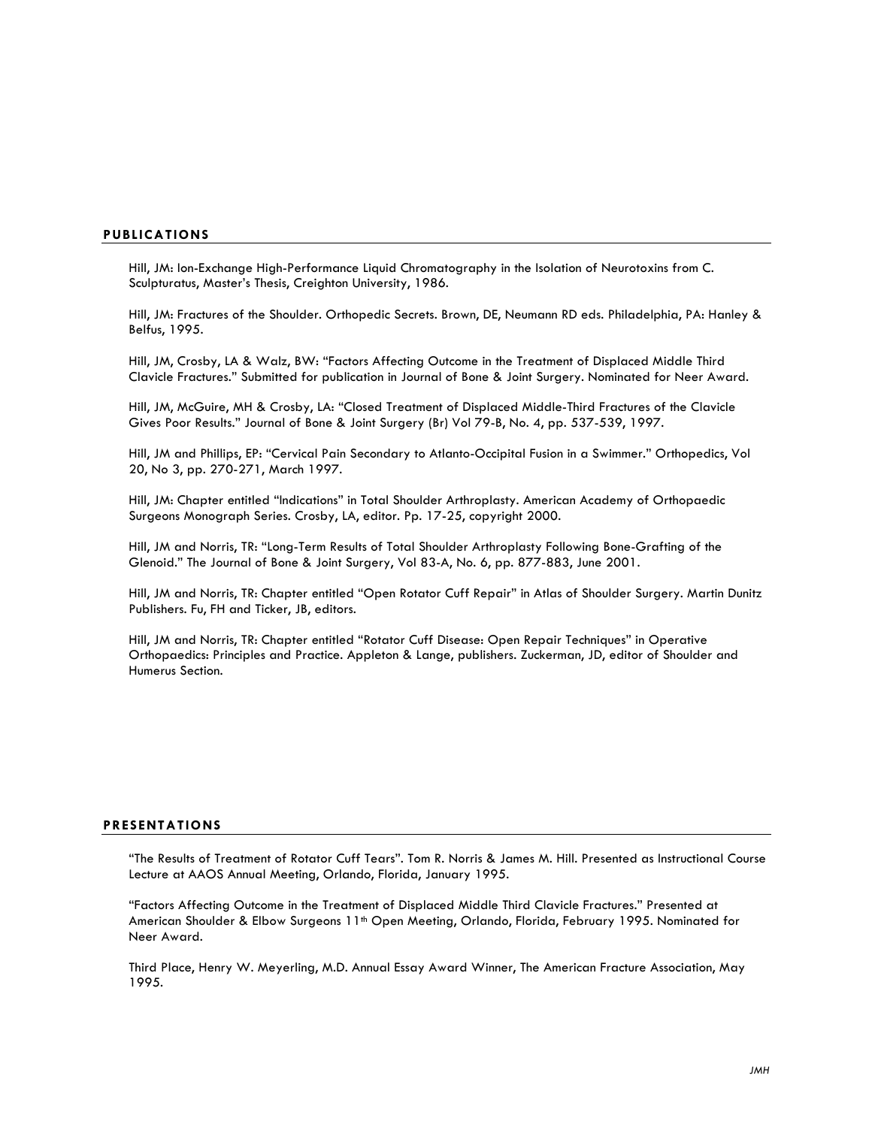# **PUBLICATIONS**

Hill, JM: Ion-Exchange High-Performance Liquid Chromatography in the Isolation of Neurotoxins from C. Sculpturatus, Master's Thesis, Creighton University, 1986.

Hill, JM: Fractures of the Shoulder. Orthopedic Secrets. Brown, DE, Neumann RD eds. Philadelphia, PA: Hanley & Belfus, 1995.

Hill, JM, Crosby, LA & Walz, BW: "Factors Affecting Outcome in the Treatment of Displaced Middle Third Clavicle Fractures." Submitted for publication in Journal of Bone & Joint Surgery. Nominated for Neer Award.

Hill, JM, McGuire, MH & Crosby, LA: "Closed Treatment of Displaced Middle-Third Fractures of the Clavicle Gives Poor Results." Journal of Bone & Joint Surgery (Br) Vol 79-B, No. 4, pp. 537-539, 1997.

Hill, JM and Phillips, EP: "Cervical Pain Secondary to Atlanto-Occipital Fusion in a Swimmer." Orthopedics, Vol 20, No 3, pp. 270-271, March 1997.

Hill, JM: Chapter entitled "Indications" in Total Shoulder Arthroplasty. American Academy of Orthopaedic Surgeons Monograph Series. Crosby, LA, editor. Pp. 17-25, copyright 2000.

Hill, JM and Norris, TR: "Long-Term Results of Total Shoulder Arthroplasty Following Bone-Grafting of the Glenoid." The Journal of Bone & Joint Surgery, Vol 83-A, No. 6, pp. 877-883, June 2001.

Hill, JM and Norris, TR: Chapter entitled "Open Rotator Cuff Repair" in Atlas of Shoulder Surgery. Martin Dunitz Publishers. Fu, FH and Ticker, JB, editors.

Hill, JM and Norris, TR: Chapter entitled "Rotator Cuff Disease: Open Repair Techniques" in Operative Orthopaedics: Principles and Practice. Appleton & Lange, publishers. Zuckerman, JD, editor of Shoulder and Humerus Section.

#### **PRESENTATIONS**

"The Results of Treatment of Rotator Cuff Tears". Tom R. Norris & James M. Hill. Presented as Instructional Course Lecture at AAOS Annual Meeting, Orlando, Florida, January 1995.

"Factors Affecting Outcome in the Treatment of Displaced Middle Third Clavicle Fractures." Presented at American Shoulder & Elbow Surgeons 11<sup>th</sup> Open Meeting, Orlando, Florida, February 1995. Nominated for Neer Award.

Third Place, Henry W. Meyerling, M.D. Annual Essay Award Winner, The American Fracture Association, May 1995.